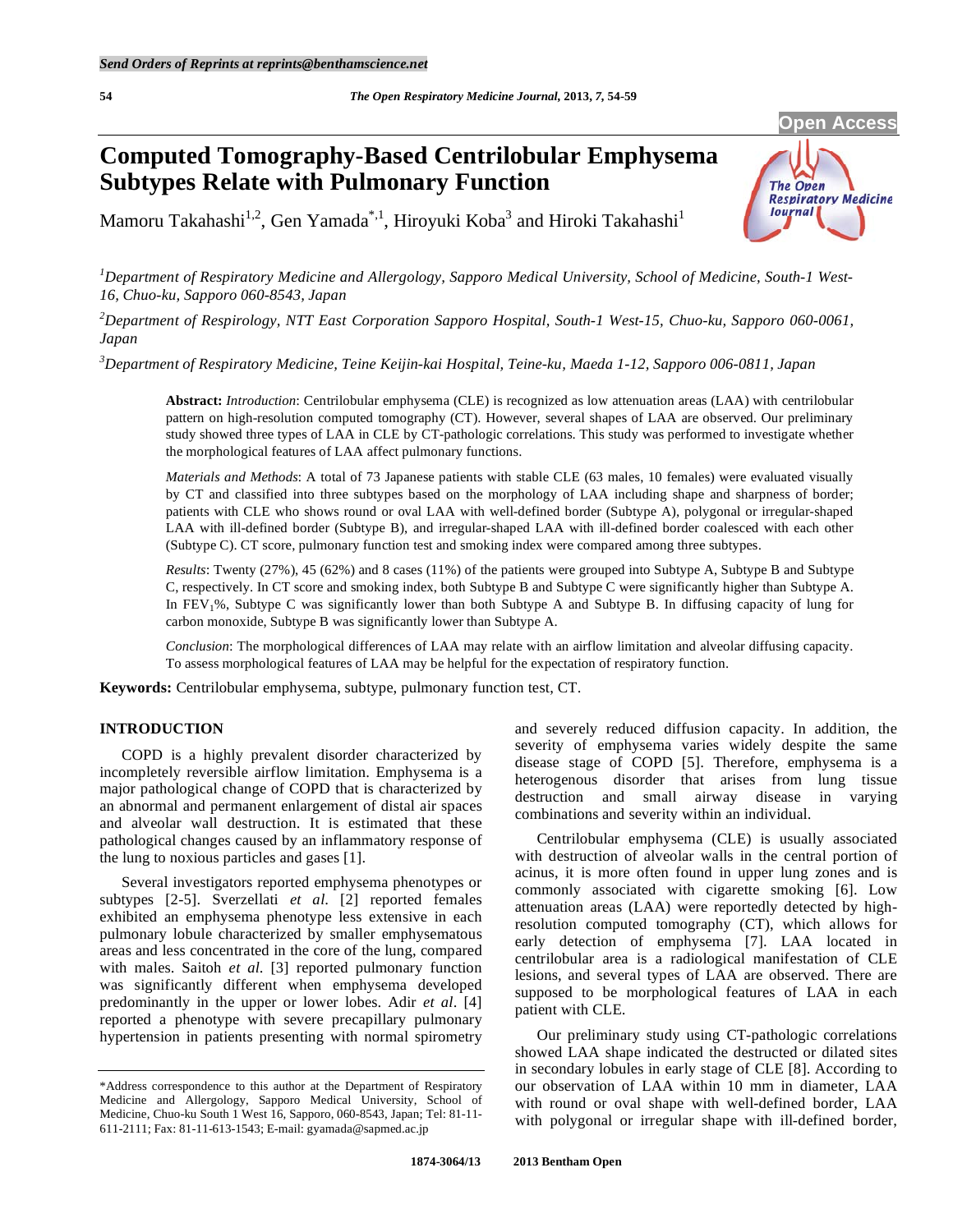# **Computed Tomography-Based Centrilobular Emphysema Subtypes Relate with Pulmonary Function**



Mamoru Takahashi<sup>1,2</sup>, Gen Yamada $\degree$ ,<sup>1</sup>, Hiroyuki Koba<sup>3</sup> and Hiroki Takahashi<sup>1</sup>

*1 Department of Respiratory Medicine and Allergology, Sapporo Medical University, School of Medicine, South-1 West-16, Chuo-ku, Sapporo 060-8543, Japan* 

*2 Department of Respirology, NTT East Corporation Sapporo Hospital, South-1 West-15, Chuo-ku, Sapporo 060-0061, Japan* 

*3 Department of Respiratory Medicine, Teine Keijin-kai Hospital, Teine-ku, Maeda 1-12, Sapporo 006-0811, Japan* 

**Abstract:** *Introduction*: Centrilobular emphysema (CLE) is recognized as low attenuation areas (LAA) with centrilobular pattern on high-resolution computed tomography (CT). However, several shapes of LAA are observed. Our preliminary study showed three types of LAA in CLE by CT-pathologic correlations. This study was performed to investigate whether the morphological features of LAA affect pulmonary functions.

*Materials and Methods*: A total of 73 Japanese patients with stable CLE (63 males, 10 females) were evaluated visually by CT and classified into three subtypes based on the morphology of LAA including shape and sharpness of border; patients with CLE who shows round or oval LAA with well-defined border (Subtype A), polygonal or irregular-shaped LAA with ill-defined border (Subtype B), and irregular-shaped LAA with ill-defined border coalesced with each other (Subtype C). CT score, pulmonary function test and smoking index were compared among three subtypes.

*Results*: Twenty (27%), 45 (62%) and 8 cases (11%) of the patients were grouped into Subtype A, Subtype B and Subtype C, respectively. In CT score and smoking index, both Subtype B and Subtype C were significantly higher than Subtype A. In FEV1%, Subtype C was significantly lower than both Subtype A and Subtype B. In diffusing capacity of lung for carbon monoxide, Subtype B was significantly lower than Subtype A.

*Conclusion*: The morphological differences of LAA may relate with an airflow limitation and alveolar diffusing capacity. To assess morphological features of LAA may be helpful for the expectation of respiratory function.

**Keywords:** Centrilobular emphysema, subtype, pulmonary function test, CT.

## **INTRODUCTION**

 COPD is a highly prevalent disorder characterized by incompletely reversible airflow limitation. Emphysema is a major pathological change of COPD that is characterized by an abnormal and permanent enlargement of distal air spaces and alveolar wall destruction. It is estimated that these pathological changes caused by an inflammatory response of the lung to noxious particles and gases [1].

 Several investigators reported emphysema phenotypes or subtypes [2-5]. Sverzellati *et al*. [2] reported females exhibited an emphysema phenotype less extensive in each pulmonary lobule characterized by smaller emphysematous areas and less concentrated in the core of the lung, compared with males. Saitoh *et al*. [3] reported pulmonary function was significantly different when emphysema developed predominantly in the upper or lower lobes. Adir *et al*. [4] reported a phenotype with severe precapillary pulmonary hypertension in patients presenting with normal spirometry

and severely reduced diffusion capacity. In addition, the severity of emphysema varies widely despite the same disease stage of COPD [5]. Therefore, emphysema is a heterogenous disorder that arises from lung tissue destruction and small airway disease in varying combinations and severity within an individual.

 Centrilobular emphysema (CLE) is usually associated with destruction of alveolar walls in the central portion of acinus, it is more often found in upper lung zones and is commonly associated with cigarette smoking [6]. Low attenuation areas (LAA) were reportedly detected by highresolution computed tomography (CT), which allows for early detection of emphysema [7]. LAA located in centrilobular area is a radiological manifestation of CLE lesions, and several types of LAA are observed. There are supposed to be morphological features of LAA in each patient with CLE.

 Our preliminary study using CT-pathologic correlations showed LAA shape indicated the destructed or dilated sites in secondary lobules in early stage of CLE [8]. According to our observation of LAA within 10 mm in diameter, LAA with round or oval shape with well-defined border, LAA with polygonal or irregular shape with ill-defined border,

<sup>\*</sup>Address correspondence to this author at the Department of Respiratory Medicine and Allergology, Sapporo Medical University, School of Medicine, Chuo-ku South 1 West 16, Sapporo, 060-8543, Japan; Tel: 81-11- 611-2111; Fax: 81-11-613-1543; E-mail: gyamada@sapmed.ac.jp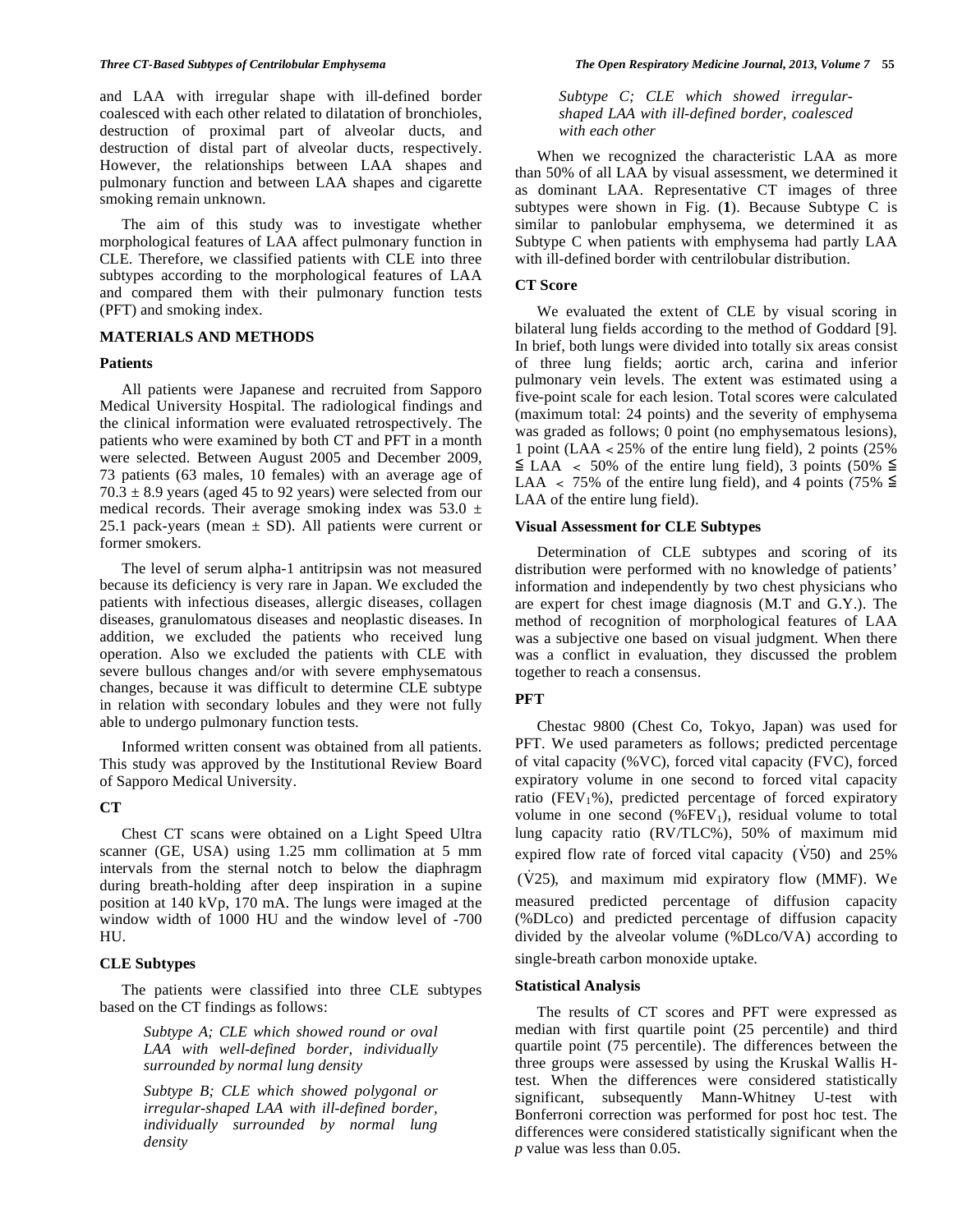and LAA with irregular shape with ill-defined border coalesced with each other related to dilatation of bronchioles, destruction of proximal part of alveolar ducts, and destruction of distal part of alveolar ducts, respectively. However, the relationships between LAA shapes and pulmonary function and between LAA shapes and cigarette smoking remain unknown.

 The aim of this study was to investigate whether morphological features of LAA affect pulmonary function in CLE. Therefore, we classified patients with CLE into three subtypes according to the morphological features of LAA and compared them with their pulmonary function tests (PFT) and smoking index.

## **MATERIALS AND METHODS**

## **Patients**

 All patients were Japanese and recruited from Sapporo Medical University Hospital. The radiological findings and the clinical information were evaluated retrospectively. The patients who were examined by both CT and PFT in a month were selected. Between August 2005 and December 2009, 73 patients (63 males, 10 females) with an average age of  $70.3 \pm 8.9$  years (aged 45 to 92 years) were selected from our medical records. Their average smoking index was  $53.0 \pm$ 25.1 pack-years (mean  $\pm$  SD). All patients were current or former smokers.

 The level of serum alpha-1 antitripsin was not measured because its deficiency is very rare in Japan. We excluded the patients with infectious diseases, allergic diseases, collagen diseases, granulomatous diseases and neoplastic diseases. In addition, we excluded the patients who received lung operation. Also we excluded the patients with CLE with severe bullous changes and/or with severe emphysematous changes, because it was difficult to determine CLE subtype in relation with secondary lobules and they were not fully able to undergo pulmonary function tests.

 Informed written consent was obtained from all patients. This study was approved by the Institutional Review Board of Sapporo Medical University.

## **CT**

 Chest CT scans were obtained on a Light Speed Ultra scanner (GE, USA) using 1.25 mm collimation at 5 mm intervals from the sternal notch to below the diaphragm during breath-holding after deep inspiration in a supine position at 140 kVp, 170 mA. The lungs were imaged at the window width of 1000 HU and the window level of -700 HU.

## **CLE Subtypes**

 The patients were classified into three CLE subtypes based on the CT findings as follows:

> *Subtype A; CLE which showed round or oval LAA with well-defined border, individually surrounded by normal lung density*

> *Subtype B; CLE which showed polygonal or irregular-shaped LAA with ill-defined border, individually surrounded by normal lung density*

*Subtype C; CLE which showed irregularshaped LAA with ill-defined border, coalesced with each other* 

 When we recognized the characteristic LAA as more than 50% of all LAA by visual assessment, we determined it as dominant LAA. Representative CT images of three subtypes were shown in Fig. (**1**). Because Subtype C is similar to panlobular emphysema, we determined it as Subtype C when patients with emphysema had partly LAA with ill-defined border with centrilobular distribution.

## **CT Score**

 We evaluated the extent of CLE by visual scoring in bilateral lung fields according to the method of Goddard [9]. In brief, both lungs were divided into totally six areas consist of three lung fields; aortic arch, carina and inferior pulmonary vein levels. The extent was estimated using a five-point scale for each lesion. Total scores were calculated (maximum total: 24 points) and the severity of emphysema was graded as follows; 0 point (no emphysematous lesions), 1 point (LAA  $<$  25% of the entire lung field), 2 points (25%)  $\leq$  LAA  $\lt$  50% of the entire lung field), 3 points (50%  $\leq$ LAA < 75% of the entire lung field), and 4 points (75%  $\leq$ LAA of the entire lung field).

## **Visual Assessment for CLE Subtypes**

 Determination of CLE subtypes and scoring of its distribution were performed with no knowledge of patients' information and independently by two chest physicians who are expert for chest image diagnosis (M.T and G.Y.). The method of recognition of morphological features of LAA was a subjective one based on visual judgment. When there was a conflict in evaluation, they discussed the problem together to reach a consensus.

## **PFT**

 Chestac 9800 (Chest Co, Tokyo, Japan) was used for PFT. We used parameters as follows; predicted percentage of vital capacity (%VC), forced vital capacity (FVC), forced expiratory volume in one second to forced vital capacity ratio (FEV<sub>1</sub>%), predicted percentage of forced expiratory volume in one second  $(\% FEV_1)$ , residual volume to total lung capacity ratio (RV/TLC%), 50% of maximum mid expired flow rate of forced vital capacity  $(V50)$  and 25% (V25), and maximum mid expiratory flow (MMF). We

measured predicted percentage of diffusion capacity (%DLco) and predicted percentage of diffusion capacity divided by the alveolar volume (%DLco/VA) according to single-breath carbon monoxide uptake.

## **Statistical Analysis**

 The results of CT scores and PFT were expressed as median with first quartile point (25 percentile) and third quartile point (75 percentile). The differences between the three groups were assessed by using the Kruskal Wallis Htest. When the differences were considered statistically significant, subsequently Mann-Whitney U-test with Bonferroni correction was performed for post hoc test. The differences were considered statistically significant when the *p* value was less than 0.05.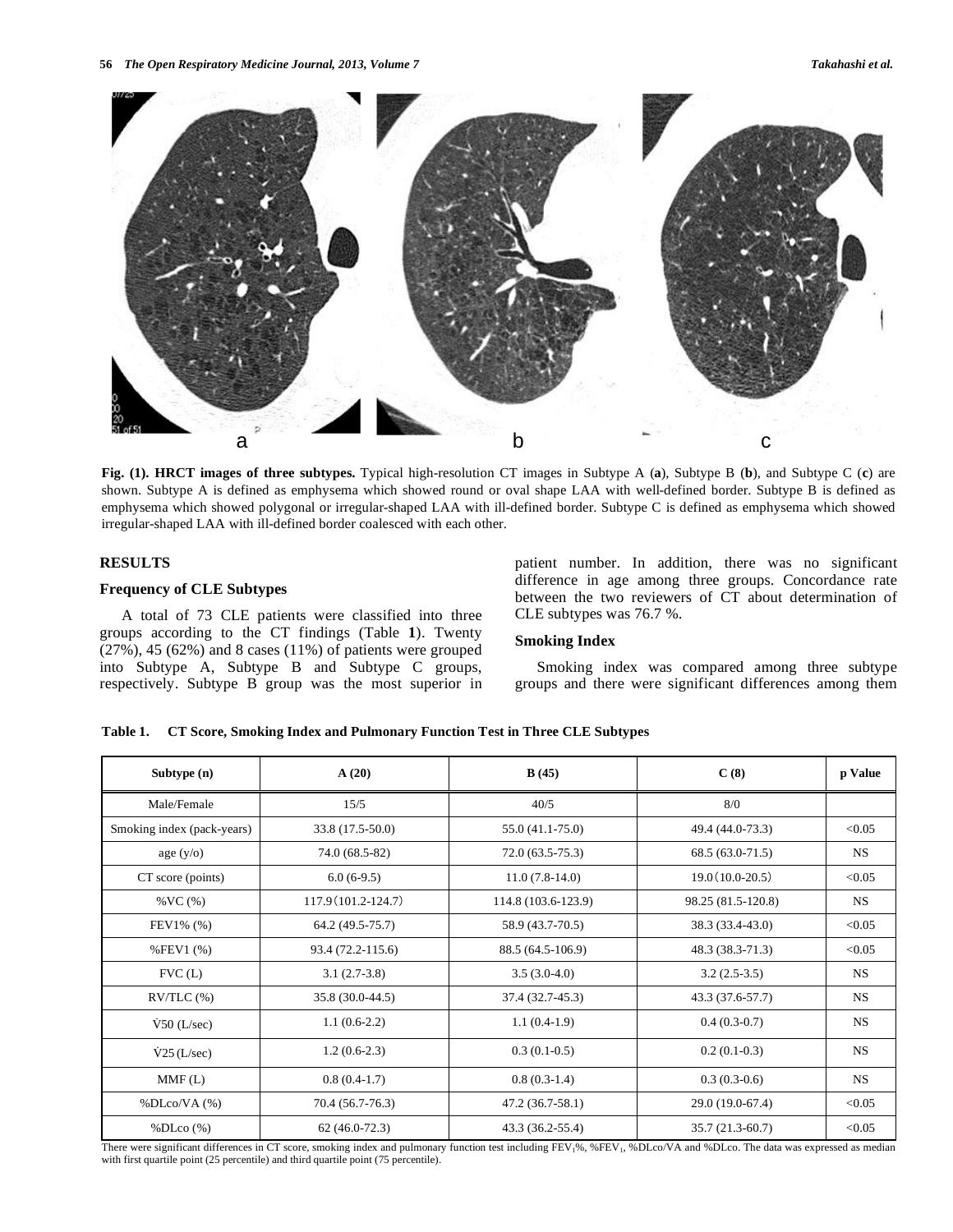

**Fig. (1). HRCT images of three subtypes.** Typical high-resolution CT images in Subtype A (**a**), Subtype B (**b**), and Subtype C (**c**) are shown. Subtype A is defined as emphysema which showed round or oval shape LAA with well-defined border. Subtype B is defined as emphysema which showed polygonal or irregular-shaped LAA with ill-defined border. Subtype C is defined as emphysema which showed irregular-shaped LAA with ill-defined border coalesced with each other.

## **RESULTS**

## **Frequency of CLE Subtypes**

 A total of 73 CLE patients were classified into three groups according to the CT findings (Table **1**). Twenty  $(27\%)$ , 45 (62%) and 8 cases (11%) of patients were grouped into Subtype A, Subtype B and Subtype C groups, respectively. Subtype B group was the most superior in patient number. In addition, there was no significant difference in age among three groups. Concordance rate between the two reviewers of CT about determination of CLE subtypes was 76.7 %.

## **Smoking Index**

 Smoking index was compared among three subtype groups and there were significant differences among them

#### **Table 1. CT Score, Smoking Index and Pulmonary Function Test in Three CLE Subtypes**

| Subtype (n)                | A(20)               | B(45)               | C(8)               | p Value   |
|----------------------------|---------------------|---------------------|--------------------|-----------|
| Male/Female                | 15/5                | 40/5                | 8/0                |           |
| Smoking index (pack-years) | 33.8 (17.5-50.0)    | 55.0 (41.1-75.0)    | 49.4 (44.0-73.3)   | < 0.05    |
| age $(y/O)$                | 74.0 (68.5-82)      | $72.0(63.5-75.3)$   | 68.5 (63.0-71.5)   | <b>NS</b> |
| CT score (points)          | $6.0(6-9.5)$        | $11.0(7.8-14.0)$    | $19.0(10.0-20.5)$  | < 0.05    |
| $\%$ VC $(\%)$             | 117.9 (101.2-124.7) | 114.8 (103.6-123.9) | 98.25 (81.5-120.8) | <b>NS</b> |
| FEV1% (%)                  | 64.2 (49.5-75.7)    | 58.9 (43.7-70.5)    | 38.3 (33.4-43.0)   | < 0.05    |
| $%$ FEV1 $(%)$             | 93.4 (72.2-115.6)   | 88.5 (64.5-106.9)   | 48.3 (38.3-71.3)   | < 0.05    |
| FVC(L)                     | $3.1(2.7-3.8)$      | $3.5(3.0-4.0)$      | $3.2(2.5-3.5)$     | <b>NS</b> |
| $RV/TLC$ $%$               | 35.8 (30.0-44.5)    | 37.4 (32.7-45.3)    | 43.3 (37.6-57.7)   | <b>NS</b> |
| $\dot{V}$ 50 (L/sec)       | $1.1(0.6-2.2)$      | $1.1(0.4-1.9)$      | $0.4(0.3-0.7)$     | <b>NS</b> |
| $\dot{V}$ 25 (L/sec)       | $1.2(0.6-2.3)$      | $0.3(0.1-0.5)$      | $0.2(0.1-0.3)$     | <b>NS</b> |
| MMF(L)                     | $0.8(0.4-1.7)$      | $0.8(0.3-1.4)$      | $0.3(0.3-0.6)$     | <b>NS</b> |
| % DLoco/VA (%)             | 70.4 (56.7-76.3)    | 47.2 (36.7-58.1)    | 29.0 (19.0-67.4)   | < 0.05    |
| % DLoc(%)                  | $62(46.0-72.3)$     | 43.3 (36.2-55.4)    | 35.7 (21.3-60.7)   | < 0.05    |

There were significant differences in CT score, smoking index and pulmonary function test including FEV<sub>1</sub>%, %FEV<sub>1</sub>, %DLco/VA and %DLco. The data was expressed as median with first quartile point (25 percentile) and third quartile point (75 percentile).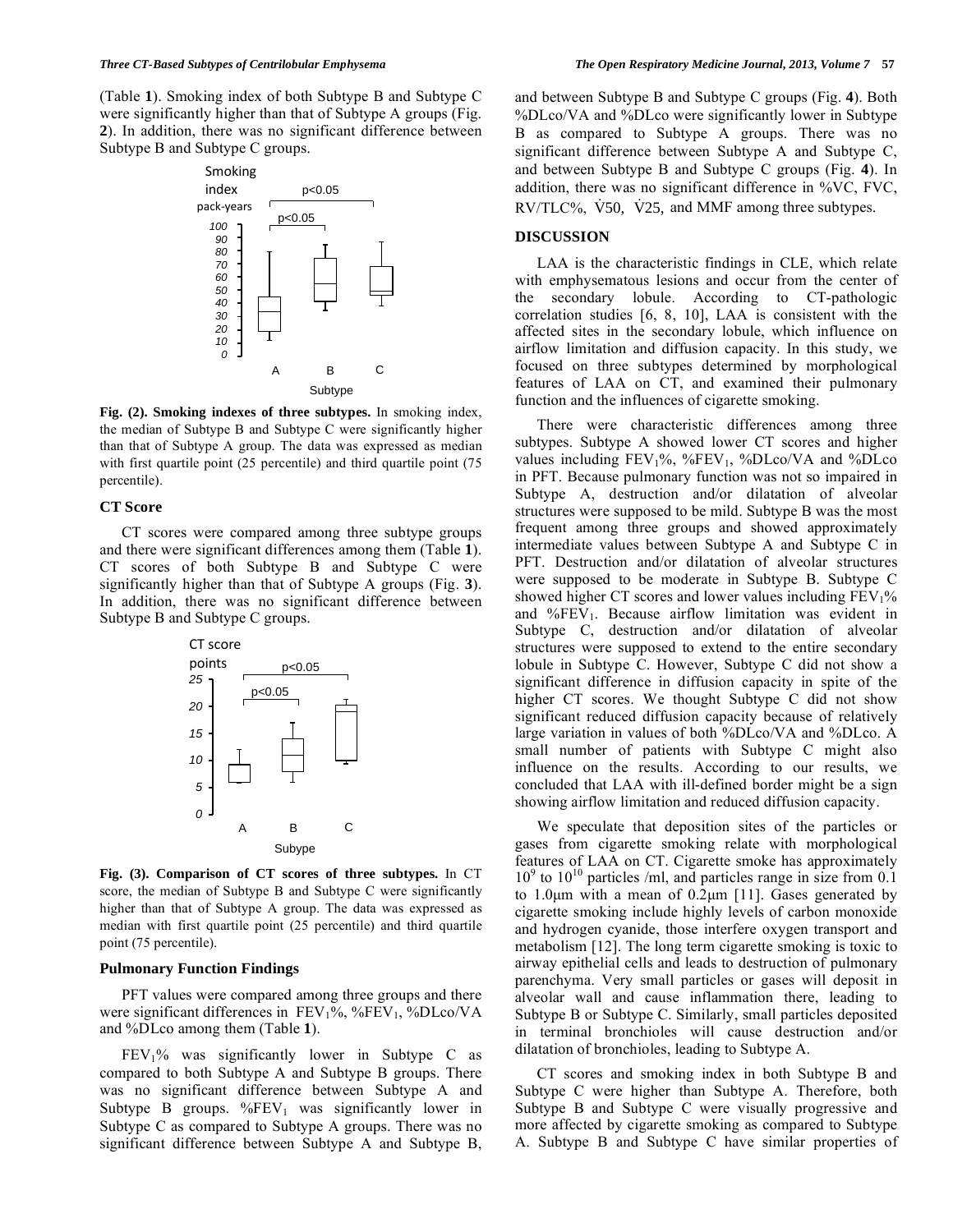(Table **1**). Smoking index of both Subtype B and Subtype C were significantly higher than that of Subtype A groups (Fig. **2**). In addition, there was no significant difference between Subtype B and Subtype C groups.



**Fig. (2). Smoking indexes of three subtypes.** In smoking index, the median of Subtype B and Subtype C were significantly higher than that of Subtype A group. The data was expressed as median with first quartile point (25 percentile) and third quartile point (75 percentile).

## **CT Score**

 CT scores were compared among three subtype groups and there were significant differences among them (Table **1**). CT scores of both Subtype B and Subtype C were significantly higher than that of Subtype A groups (Fig. **3**). In addition, there was no significant difference between Subtype B and Subtype C groups.



**Fig. (3). Comparison of CT scores of three subtypes.** In CT score, the median of Subtype B and Subtype C were significantly higher than that of Subtype A group. The data was expressed as median with first quartile point (25 percentile) and third quartile point (75 percentile).

#### **Pulmonary Function Findings**

 PFT values were compared among three groups and there were significant differences in FEV<sub>1</sub>%, %FEV<sub>1</sub>, %DLco/VA and %DLco among them (Table **1**).

 $FEV<sub>1</sub>%$  was significantly lower in Subtype C as compared to both Subtype A and Subtype B groups. There was no significant difference between Subtype A and Subtype B groups.  $\%$ FEV<sub>1</sub> was significantly lower in Subtype C as compared to Subtype A groups. There was no significant difference between Subtype A and Subtype B, and between Subtype B and Subtype C groups (Fig. **4**). Both %DLco/VA and %DLco were significantly lower in Subtype B as compared to Subtype A groups. There was no significant difference between Subtype A and Subtype C, and between Subtype B and Subtype C groups (Fig. **4**). In addition, there was no significant difference in %VC, FVC, RV/TLC%, V50, V25, and MMF among three subtypes.

#### **DISCUSSION**

 LAA is the characteristic findings in CLE, which relate with emphysematous lesions and occur from the center of the secondary lobule. According to CT-pathologic correlation studies [6, 8, 10], LAA is consistent with the affected sites in the secondary lobule, which influence on airflow limitation and diffusion capacity. In this study, we focused on three subtypes determined by morphological features of LAA on CT, and examined their pulmonary function and the influences of cigarette smoking.

 There were characteristic differences among three subtypes. Subtype A showed lower CT scores and higher values including  $FEV<sub>1</sub>$ %, % $FEV<sub>1</sub>$ , % $DLoc/VA$  and % $DLoc$ in PFT. Because pulmonary function was not so impaired in Subtype A, destruction and/or dilatation of alveolar structures were supposed to be mild. Subtype B was the most frequent among three groups and showed approximately intermediate values between Subtype A and Subtype C in PFT. Destruction and/or dilatation of alveolar structures were supposed to be moderate in Subtype B. Subtype C showed higher CT scores and lower values including  $FEV<sub>1</sub>%$ and  $\%$ FEV<sub>1</sub>. Because airflow limitation was evident in Subtype C, destruction and/or dilatation of alveolar structures were supposed to extend to the entire secondary lobule in Subtype C. However, Subtype C did not show a significant difference in diffusion capacity in spite of the higher CT scores. We thought Subtype C did not show significant reduced diffusion capacity because of relatively large variation in values of both %DLco/VA and %DLco. A small number of patients with Subtype C might also influence on the results. According to our results, we concluded that LAA with ill-defined border might be a sign showing airflow limitation and reduced diffusion capacity.

 We speculate that deposition sites of the particles or gases from cigarette smoking relate with morphological features of LAA on CT. Cigarette smoke has approximately  $10<sup>9</sup>$  to  $10<sup>10</sup>$  particles /ml, and particles range in size from 0.1 to 1.0μm with a mean of 0.2μm [11]. Gases generated by cigarette smoking include highly levels of carbon monoxide and hydrogen cyanide, those interfere oxygen transport and metabolism [12]. The long term cigarette smoking is toxic to airway epithelial cells and leads to destruction of pulmonary parenchyma. Very small particles or gases will deposit in alveolar wall and cause inflammation there, leading to Subtype B or Subtype C. Similarly, small particles deposited in terminal bronchioles will cause destruction and/or dilatation of bronchioles, leading to Subtype A.

 CT scores and smoking index in both Subtype B and Subtype C were higher than Subtype A. Therefore, both Subtype B and Subtype C were visually progressive and more affected by cigarette smoking as compared to Subtype A. Subtype B and Subtype C have similar properties of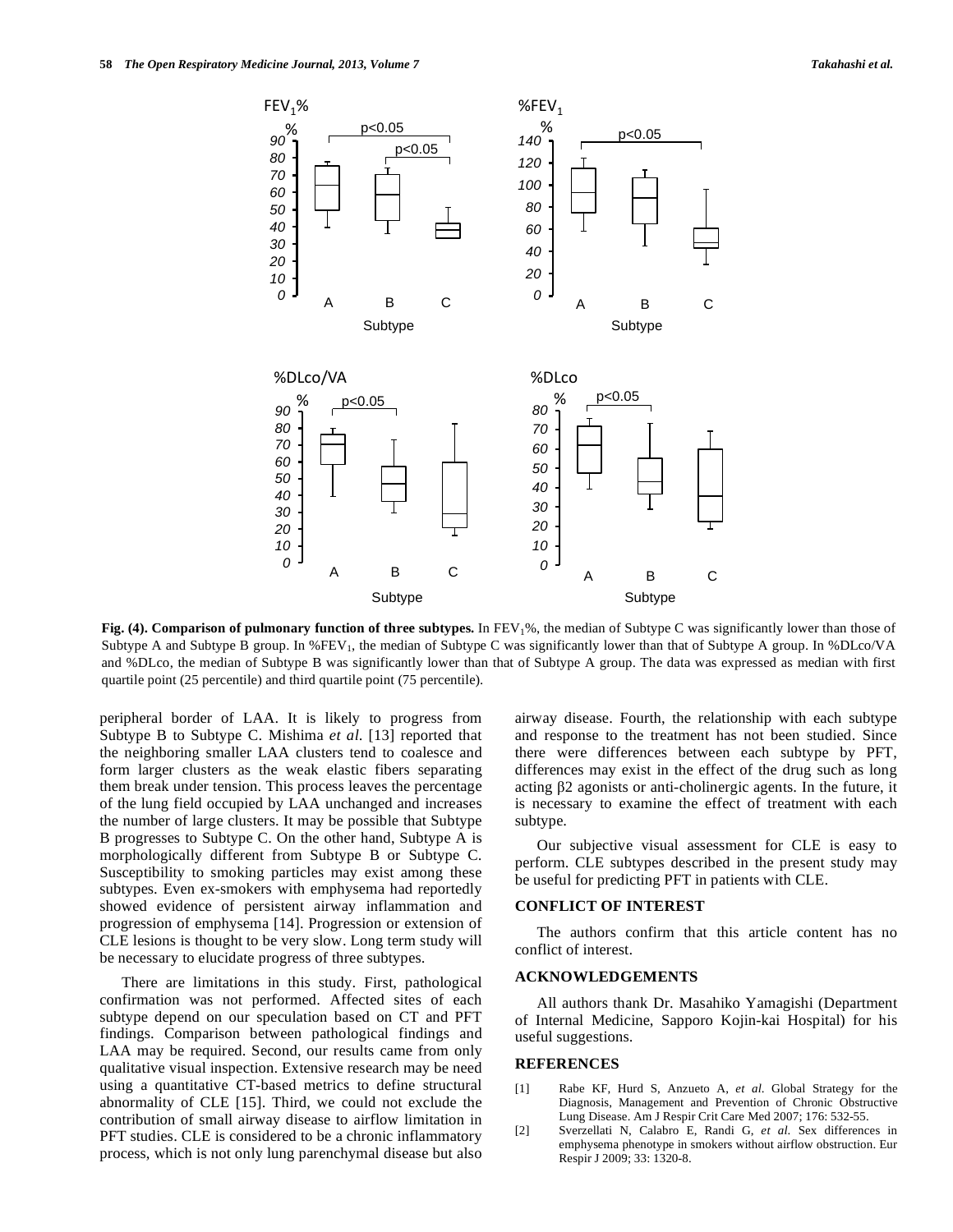

**Fig. (4). Comparison of pulmonary function of three subtypes.** In FEV<sub>1</sub>%, the median of Subtype C was significantly lower than those of Subtype A and Subtype B group. In  $\%$ FEV<sub>1</sub>, the median of Subtype C was significantly lower than that of Subtype A group. In  $\%$ DLco/VA and %DLco, the median of Subtype B was significantly lower than that of Subtype A group. The data was expressed as median with first quartile point (25 percentile) and third quartile point (75 percentile).

peripheral border of LAA. It is likely to progress from Subtype B to Subtype C. Mishima *et al*. [13] reported that the neighboring smaller LAA clusters tend to coalesce and form larger clusters as the weak elastic fibers separating them break under tension. This process leaves the percentage of the lung field occupied by LAA unchanged and increases the number of large clusters. It may be possible that Subtype B progresses to Subtype C. On the other hand, Subtype A is morphologically different from Subtype B or Subtype C. Susceptibility to smoking particles may exist among these subtypes. Even ex-smokers with emphysema had reportedly showed evidence of persistent airway inflammation and progression of emphysema [14]. Progression or extension of CLE lesions is thought to be very slow. Long term study will be necessary to elucidate progress of three subtypes.

 There are limitations in this study. First, pathological confirmation was not performed. Affected sites of each subtype depend on our speculation based on CT and PFT findings. Comparison between pathological findings and LAA may be required. Second, our results came from only qualitative visual inspection. Extensive research may be need using a quantitative CT-based metrics to define structural abnormality of CLE [15]. Third, we could not exclude the contribution of small airway disease to airflow limitation in PFT studies. CLE is considered to be a chronic inflammatory process, which is not only lung parenchymal disease but also airway disease. Fourth, the relationship with each subtype and response to the treatment has not been studied. Since there were differences between each subtype by PFT, differences may exist in the effect of the drug such as long acting  $\beta$ 2 agonists or anti-cholinergic agents. In the future, it is necessary to examine the effect of treatment with each subtype.

 Our subjective visual assessment for CLE is easy to perform. CLE subtypes described in the present study may be useful for predicting PFT in patients with CLE.

## **CONFLICT OF INTEREST**

 The authors confirm that this article content has no conflict of interest.

## **ACKNOWLEDGEMENTS**

 All authors thank Dr. Masahiko Yamagishi (Department of Internal Medicine, Sapporo Kojin-kai Hospital) for his useful suggestions.

## **REFERENCES**

- [1] Rabe KF, Hurd S, Anzueto A, *et al*. Global Strategy for the Diagnosis, Management and Prevention of Chronic Obstructive Lung Disease. Am J Respir Crit Care Med 2007; 176: 532-55.
- [2] Sverzellati N, Calabro E, Randi G, *et al*. Sex differences in emphysema phenotype in smokers without airflow obstruction. Eur Respir J 2009; 33: 1320-8.